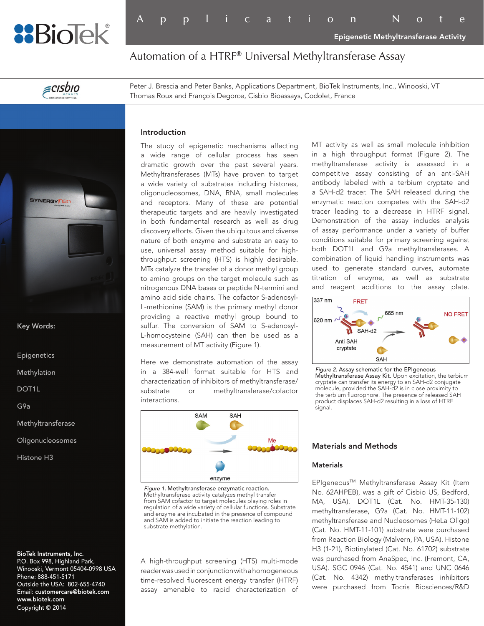

Application Note

Epigenetic Methyltransferase Activity

Automation of a HTRF® Universal Methyltransferase Assay

 $\epsilon$ cisbio

Peter J. Brescia and Peter Banks, Applications Department, BioTek Instruments, Inc., Winooski, VT Thomas Roux and François Degorce, Cisbio Bioassays, Codolet, France

# **SYNERGY Red**

Key Words:

Epigenetics

Methylation

DOT1L

G9a

Methyltransferase

**Oligonucleosomes** 

Histone H3

BioTek Instruments, Inc. P.O. Box 998, Highland Park, Winooski, Vermont 05404-0998 USA Phone: 888-451-5171 Outside the USA: 802-655-4740 Email: customercare@biotek.com www.biotek.com Copyright © 2014

# Introduction

The study of epigenetic mechanisms affecting a wide range of cellular process has seen dramatic growth over the past several years. Methyltransferases (MTs) have proven to target a wide variety of substrates including histones, oligonucleosomes, DNA, RNA, small molecules and receptors. Many of these are potential therapeutic targets and are heavily investigated in both fundamental research as well as drug discovery efforts. Given the ubiquitous and diverse nature of both enzyme and substrate an easy to use, universal assay method suitable for highthroughput screening (HTS) is highly desirable. MTs catalyze the transfer of a donor methyl group to amino groups on the target molecule such as nitrogenous DNA bases or peptide N-termini and amino acid side chains. The cofactor S-adenosyl-L-methionine (SAM) is the primary methyl donor providing a reactive methyl group bound to sulfur. The conversion of SAM to S-adenosyl-L-homocysteine (SAH) can then be used as a measurement of MT activity (Figure 1).

Here we demonstrate automation of the assay in a 384-well format suitable for HTS and characterization of inhibitors of methyltransferase/ substrate or methyltransferase/cofactor interactions.



*Figure 1.* Methyltransferase enzymatic reaction. Methyltransferase activity catalyzes methyl transfer from SAM cofactor to target molecules playing roles in regulation of a wide variety of cellular functions. Substrate and enzyme are incubated in the presence of compound and SAM is added to initiate the reaction leading to substrate methylation.

A high-throughput screening (HTS) multi-mode reader was used in conjunction with a homogeneous time-resolved fluorescent energy transfer (HTRF) assay amenable to rapid characterization of MT activity as well as small molecule inhibition in a high throughput format (Figure 2). The methyltransferase activity is assessed in a competitive assay consisting of an anti-SAH antibody labeled with a terbium cryptate and a SAH-d2 tracer. The SAH released during the enzymatic reaction competes with the SAH-d2 tracer leading to a decrease in HTRF signal. Demonstration of the assay includes analysis of assay performance under a variety of buffer conditions suitable for primary screening against both DOT1L and G9a methyltransferases. A combination of liquid handling instruments was used to generate standard curves, automate titration of enzyme, as well as substrate and reagent additions to the assay plate.



*Figure 2.* Assay schematic for the EPIgeneous Methyltransferase Assay Kit. Upon excitation, the terbium cryptate can transfer its energy to an SAH-d2 conjugate molecule, provided the SAH-d2 is in close proximity to the terbium fluorophore. The presence of released SAH product displaces SAH-d2 resulting in a loss of HTRF signal.

# Materials and Methods

### **Materials**

EPIgeneous™ Methyltransferase Assay Kit (Item No. 62AHPEB), was a gift of Cisbio US, Bedford, MA, USA). DOT1L (Cat. No. HMT-35-130) methyltransferase, G9a (Cat. No. HMT-11-102) methyltransferase and Nucleosomes (HeLa Oligo) (Cat. No. HMT-11-101) substrate were purchased from Reaction Biology (Malvern, PA, USA). Histone H3 (1-21), Biotinylated (Cat. No. 61702) substrate was purchased from AnaSpec, Inc. (Fremont, CA, USA). SGC 0946 (Cat. No. 4541) and UNC 0646 (Cat. No. 4342) methyltransferases inhibitors were purchased from Tocris Biosciences/R&D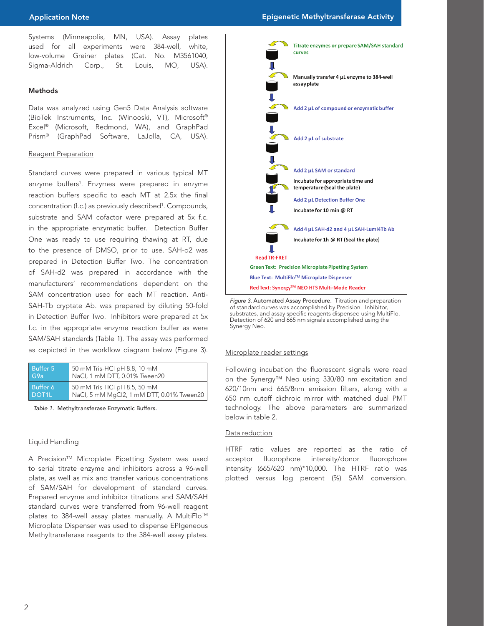Systems (Minneapolis, MN, USA). Assay plates used for all experiments were 384-well, white, low-volume Greiner plates (Cat. No. M3561040, Sigma-Aldrich Corp., St. Louis, MO, USA).

# Methods

Data was analyzed using Gen5 Data Analysis software (BioTek Instruments, Inc. (Winooski, VT), Microsoft® Excel® (Microsoft, Redmond, WA), and GraphPad Prism® (GraphPad Software, LaJolla, CA, USA).

# Reagent Preparation

Standard curves were prepared in various typical MT enzyme buffers<sup>1</sup>. Enzymes were prepared in enzyme reaction buffers specific to each MT at 2.5x the final concentration (f.c.) as previously described<sup>1</sup>. Compounds, substrate and SAM cofactor were prepared at 5x f.c. in the appropriate enzymatic buffer. Detection Buffer One was ready to use requiring thawing at RT, due to the presence of DMSO, prior to use. SAH-d2 was prepared in Detection Buffer Two. The concentration of SAH-d2 was prepared in accordance with the manufacturers' recommendations dependent on the SAM concentration used for each MT reaction. Anti-SAH-Tb cryptate Ab. was prepared by diluting 50-fold in Detection Buffer Two. Inhibitors were prepared at 5x f.c. in the appropriate enzyme reaction buffer as were SAM/SAH standards (Table 1). The assay was performed as depicted in the workflow diagram below (Figure 3).

| <b>Buffer 5</b>    | 50 mM Tris-HCI pH 8.8, 10 mM              |
|--------------------|-------------------------------------------|
| G9a                | NaCl, 1 mM DTT, 0.01% Tween20             |
| Buffer 6           | 50 mM Tris-HCI pH 8.5, 50 mM              |
| DOT <sub>1</sub> L | NaCl, 5 mM MgCl2, 1 mM DTT, 0.01% Tween20 |

*Table 1.* Methyltransferase Enzymatic Buffers.

# Liquid Handling

A Precision™ Microplate Pipetting System was used to serial titrate enzyme and inhibitors across a 96-well plate, as well as mix and transfer various concentrations of SAM/SAH for development of standard curves. Prepared enzyme and inhibitor titrations and SAM/SAH standard curves were transferred from 96-well reagent plates to 384-well assay plates manually. A MultiFlo™ Microplate Dispenser was used to dispense EPIgeneous Methyltransferase reagents to the 384-well assay plates.



*Figure 3.* Automated Assay Procedure. Titration and preparation of standard curves was accomplished by Precision. Inhibitor, substrates, and assay specific reagents dispensed using MultiFlo. Detection of 620 and 665 nm signals accomplished using the Synergy Neo.

# Microplate reader settings

Following incubation the fluorescent signals were read on the Synergy™ Neo using 330/80 nm excitation and 620/10nm and 665/8nm emission filters, along with a 650 nm cutoff dichroic mirror with matched dual PMT technology. The above parameters are summarized below in table 2.

# Data reduction

HTRF ratio values are reported as the ratio of acceptor fluorophore intensity/donor fluorophore intensity (665/620 nm)\*10,000. The HTRF ratio was plotted versus log percent (%) SAM conversion.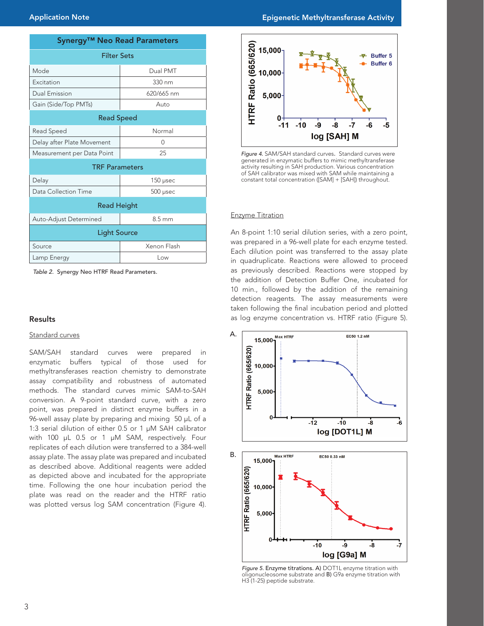| Synergy <sup>™</sup> Neo Read Parameters |             |  |  |
|------------------------------------------|-------------|--|--|
| <b>Filter Sets</b>                       |             |  |  |
| Mode                                     | Dual PMT    |  |  |
| Excitation                               | 330 nm      |  |  |
| <b>Dual Emission</b>                     | 620/665 nm  |  |  |
| Gain (Side/Top PMTs)                     | Auto        |  |  |
| <b>Read Speed</b>                        |             |  |  |
| Read Speed                               | Normal      |  |  |
| Delay after Plate Movement               | 0           |  |  |
| Measurement per Data Point               | 25          |  |  |
| <b>TRF Parameters</b>                    |             |  |  |
| Delay                                    | 150 µsec    |  |  |
| Data Collection Time                     | 500 µsec    |  |  |
| <b>Read Height</b>                       |             |  |  |
| Auto-Adjust Determined                   | 8.5 mm      |  |  |
| <b>Light Source</b>                      |             |  |  |
| Source                                   | Xenon Flash |  |  |
| Lamp Energy                              | Low         |  |  |

*Table 2.* Synergy Neo HTRF Read Parameters.

### Results

# Standard curves

SAM/SAH standard curves were prepared in enzymatic buffers typical of those used for methyltransferases reaction chemistry to demonstrate assay compatibility and robustness of automated methods. The standard curves mimic SAM-to-SAH conversion. A 9-point standard curve, with a zero point, was prepared in distinct enzyme buffers in a 96-well assay plate by preparing and mixing 50 µL of a 1:3 serial dilution of either 0.5 or 1 µM SAH calibrator with 100 µL 0.5 or 1 µM SAM, respectively. Four replicates of each dilution were transferred to a 384-well assay plate. The assay plate was prepared and incubated as described above. Additional reagents were added as depicted above and incubated for the appropriate time. Following the one hour incubation period the plate was read on the reader and the HTRF ratio was plotted versus log SAM concentration (Figure 4).



*Figure 4.* SAM/SAH standard curves. Standard curves were generated in enzymatic buffers to mimic methyltransferase activity resulting in SAH production. Various concentration of SAH calibrator was mixed with SAM while maintaining a constant total concentration ([SAM] + [SAH]) throughout.

### Enzyme Titration

An 8-point 1:10 serial dilution series, with a zero point, was prepared in a 96-well plate for each enzyme tested. Each dilution point was transferred to the assay plate in quadruplicate. Reactions were allowed to proceed as previously described. Reactions were stopped by the addition of Detection Buffer One, incubated for 10 min., followed by the addition of the remaining detection reagents. The assay measurements were taken following the final incubation period and plotted as log enzyme concentration vs. HTRF ratio (Figure 5).



*Figure 5.* Enzyme titrations. A) DOT1L enzyme titration with oligonucleosome substrate and B) G9a enzyme titration with H3 (1-25) peptide substrate.